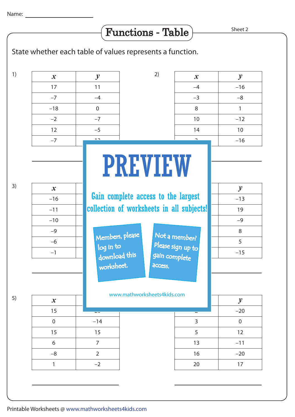